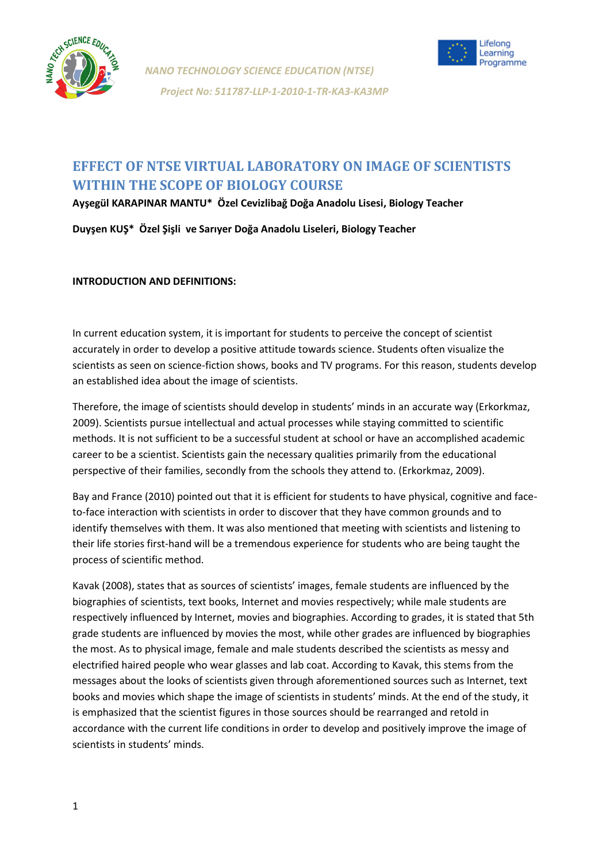



# **EFFECT OF NTSE VIRTUAL LABORATORY ON IMAGE OF SCIENTISTS WITHIN THE SCOPE OF BIOLOGY COURSE**

**Ayşegül KARAPINAR MANTU\* Özel Cevizlibağ Doğa Anadolu Lisesi, Biology Teacher**

**Duyşen KUŞ\* Özel Şişli ve Sarıyer Doğa Anadolu Liseleri, Biology Teacher**

**INTRODUCTION AND DEFINITIONS:**

In current education system, it is important for students to perceive the concept of scientist accurately in order to develop a positive attitude towards science. Students often visualize the scientists as seen on science-fiction shows, books and TV programs. For this reason, students develop an established idea about the image of scientists.

Therefore, the image of scientists should develop in students' minds in an accurate way (Erkorkmaz, 2009). Scientists pursue intellectual and actual processes while staying committed to scientific methods. It is not sufficient to be a successful student at school or have an accomplished academic career to be a scientist. Scientists gain the necessary qualities primarily from the educational perspective of their families, secondly from the schools they attend to. (Erkorkmaz, 2009).

Bay and France (2010) pointed out that it is efficient for students to have physical, cognitive and faceto-face interaction with scientists in order to discover that they have common grounds and to identify themselves with them. It was also mentioned that meeting with scientists and listening to their life stories first-hand will be a tremendous experience for students who are being taught the process of scientific method.

Kavak (2008), states that as sources of scientists' images, female students are influenced by the biographies of scientists, text books, Internet and movies respectively; while male students are respectively influenced by Internet, movies and biographies. According to grades, it is stated that 5th grade students are influenced by movies the most, while other grades are influenced by biographies the most. As to physical image, female and male students described the scientists as messy and electrified haired people who wear glasses and lab coat. According to Kavak, this stems from the messages about the looks of scientists given through aforementioned sources such as Internet, text books and movies which shape the image of scientists in students' minds. At the end of the study, it is emphasized that the scientist figures in those sources should be rearranged and retold in accordance with the current life conditions in order to develop and positively improve the image of scientists in students' minds.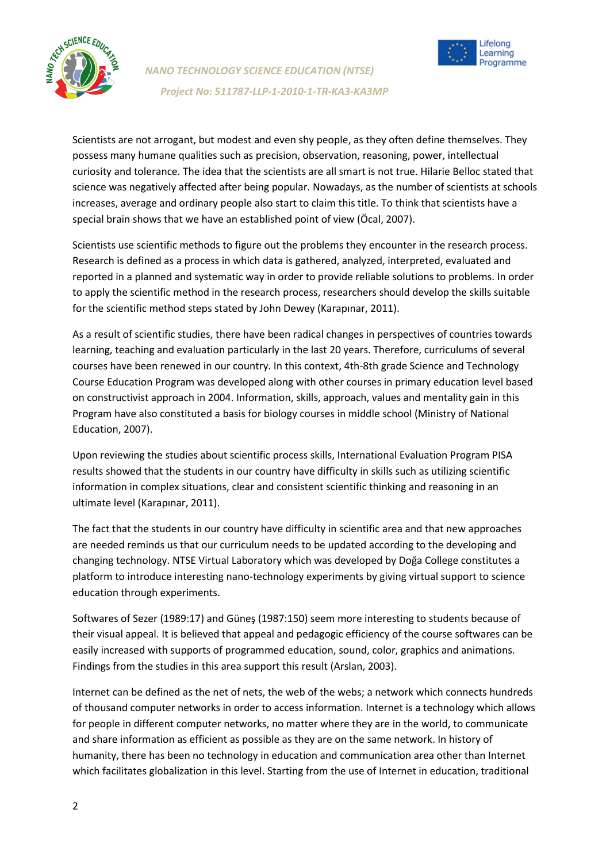

*NANO TECHNOLOGY SCIENCE EDUCATION (NTSE)*  *Project No: 511787-LLP-1-2010-1-TR-KA3-KA3MP* 



Scientists are not arrogant, but modest and even shy people, as they often define themselves. They possess many humane qualities such as precision, observation, reasoning, power, intellectual curiosity and tolerance. The idea that the scientists are all smart is not true. Hilarie Belloc stated that science was negatively affected after being popular. Nowadays, as the number of scientists at schools increases, average and ordinary people also start to claim this title. To think that scientists have a special brain shows that we have an established point of view (Öcal, 2007).

Scientists use scientific methods to figure out the problems they encounter in the research process. Research is defined as a process in which data is gathered, analyzed, interpreted, evaluated and reported in a planned and systematic way in order to provide reliable solutions to problems. In order to apply the scientific method in the research process, researchers should develop the skills suitable for the scientific method steps stated by John Dewey (Karapınar, 2011).

As a result of scientific studies, there have been radical changes in perspectives of countries towards learning, teaching and evaluation particularly in the last 20 years. Therefore, curriculums of several courses have been renewed in our country. In this context, 4th-8th grade Science and Technology Course Education Program was developed along with other courses in primary education level based on constructivist approach in 2004. Information, skills, approach, values and mentality gain in this Program have also constituted a basis for biology courses in middle school (Ministry of National Education, 2007).

Upon reviewing the studies about scientific process skills, International Evaluation Program PISA results showed that the students in our country have difficulty in skills such as utilizing scientific information in complex situations, clear and consistent scientific thinking and reasoning in an ultimate level (Karapınar, 2011).

The fact that the students in our country have difficulty in scientific area and that new approaches are needed reminds us that our curriculum needs to be updated according to the developing and changing technology. NTSE Virtual Laboratory which was developed by Doğa College constitutes a platform to introduce interesting nano-technology experiments by giving virtual support to science education through experiments.

Softwares of Sezer (1989:17) and Güneş (1987:150) seem more interesting to students because of their visual appeal. It is believed that appeal and pedagogic efficiency of the course softwares can be easily increased with supports of programmed education, sound, color, graphics and animations. Findings from the studies in this area support this result (Arslan, 2003).

Internet can be defined as the net of nets, the web of the webs; a network which connects hundreds of thousand computer networks in order to access information. Internet is a technology which allows for people in different computer networks, no matter where they are in the world, to communicate and share information as efficient as possible as they are on the same network. In history of humanity, there has been no technology in education and communication area other than Internet which facilitates globalization in this level. Starting from the use of Internet in education, traditional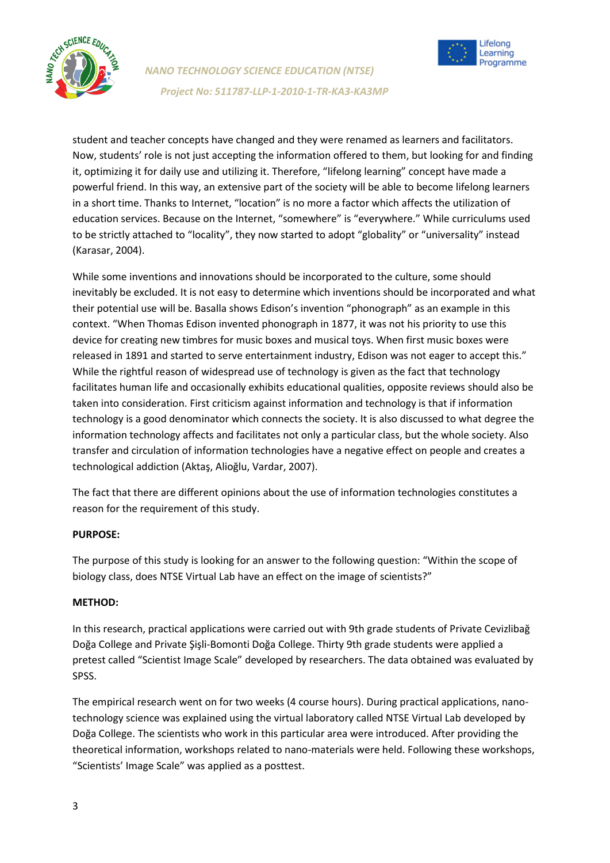

*NANO TECHNOLOGY SCIENCE EDUCATION (NTSE)*  *Project No: 511787-LLP-1-2010-1-TR-KA3-KA3MP* 



student and teacher concepts have changed and they were renamed as learners and facilitators. Now, students' role is not just accepting the information offered to them, but looking for and finding it, optimizing it for daily use and utilizing it. Therefore, "lifelong learning" concept have made a powerful friend. In this way, an extensive part of the society will be able to become lifelong learners in a short time. Thanks to Internet, "location" is no more a factor which affects the utilization of education services. Because on the Internet, "somewhere" is "everywhere." While curriculums used to be strictly attached to "locality", they now started to adopt "globality" or "universality" instead (Karasar, 2004).

While some inventions and innovations should be incorporated to the culture, some should inevitably be excluded. It is not easy to determine which inventions should be incorporated and what their potential use will be. Basalla shows Edison's invention "phonograph" as an example in this context. "When Thomas Edison invented phonograph in 1877, it was not his priority to use this device for creating new timbres for music boxes and musical toys. When first music boxes were released in 1891 and started to serve entertainment industry, Edison was not eager to accept this." While the rightful reason of widespread use of technology is given as the fact that technology facilitates human life and occasionally exhibits educational qualities, opposite reviews should also be taken into consideration. First criticism against information and technology is that if information technology is a good denominator which connects the society. It is also discussed to what degree the information technology affects and facilitates not only a particular class, but the whole society. Also transfer and circulation of information technologies have a negative effect on people and creates a technological addiction (Aktaş, Alioğlu, Vardar, 2007).

The fact that there are different opinions about the use of information technologies constitutes a reason for the requirement of this study.

## **PURPOSE:**

The purpose of this study is looking for an answer to the following question: "Within the scope of biology class, does NTSE Virtual Lab have an effect on the image of scientists?"

#### **METHOD:**

In this research, practical applications were carried out with 9th grade students of Private Cevizlibağ Doğa College and Private Şişli-Bomonti Doğa College. Thirty 9th grade students were applied a pretest called "Scientist Image Scale" developed by researchers. The data obtained was evaluated by SPSS.

The empirical research went on for two weeks (4 course hours). During practical applications, nanotechnology science was explained using the virtual laboratory called NTSE Virtual Lab developed by Doğa College. The scientists who work in this particular area were introduced. After providing the theoretical information, workshops related to nano-materials were held. Following these workshops, "Scientists' Image Scale" was applied as a posttest.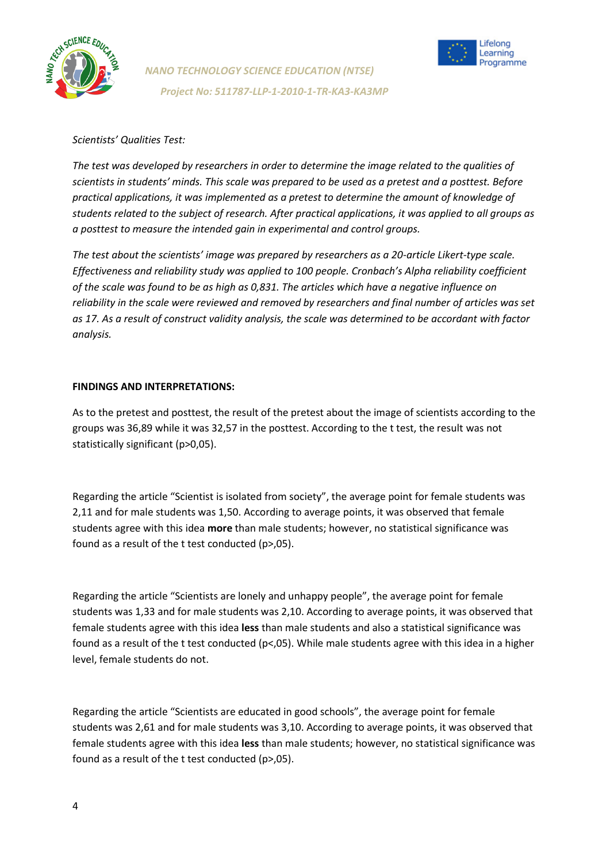



#### *Scientists' Qualities Test:*

*The test was developed by researchers in order to determine the image related to the qualities of scientists in students' minds. This scale was prepared to be used as a pretest and a posttest. Before practical applications, it was implemented as a pretest to determine the amount of knowledge of students related to the subject of research. After practical applications, it was applied to all groups as a posttest to measure the intended gain in experimental and control groups.*

*The test about the scientists' image was prepared by researchers as a 20-article Likert-type scale. Effectiveness and reliability study was applied to 100 people. Cronbach's Alpha reliability coefficient of the scale was found to be as high as 0,831. The articles which have a negative influence on reliability in the scale were reviewed and removed by researchers and final number of articles was set as 17. As a result of construct validity analysis, the scale was determined to be accordant with factor analysis.*

#### **FINDINGS AND INTERPRETATIONS:**

As to the pretest and posttest, the result of the pretest about the image of scientists according to the groups was 36,89 while it was 32,57 in the posttest. According to the t test, the result was not statistically significant (p>0,05).

Regarding the article "Scientist is isolated from society", the average point for female students was 2,11 and for male students was 1,50. According to average points, it was observed that female students agree with this idea **more** than male students; however, no statistical significance was found as a result of the t test conducted (p>,05).

Regarding the article "Scientists are lonely and unhappy people", the average point for female students was 1,33 and for male students was 2,10. According to average points, it was observed that female students agree with this idea **less** than male students and also a statistical significance was found as a result of the t test conducted (p<,05). While male students agree with this idea in a higher level, female students do not.

Regarding the article "Scientists are educated in good schools", the average point for female students was 2,61 and for male students was 3,10. According to average points, it was observed that female students agree with this idea **less** than male students; however, no statistical significance was found as a result of the t test conducted (p>,05).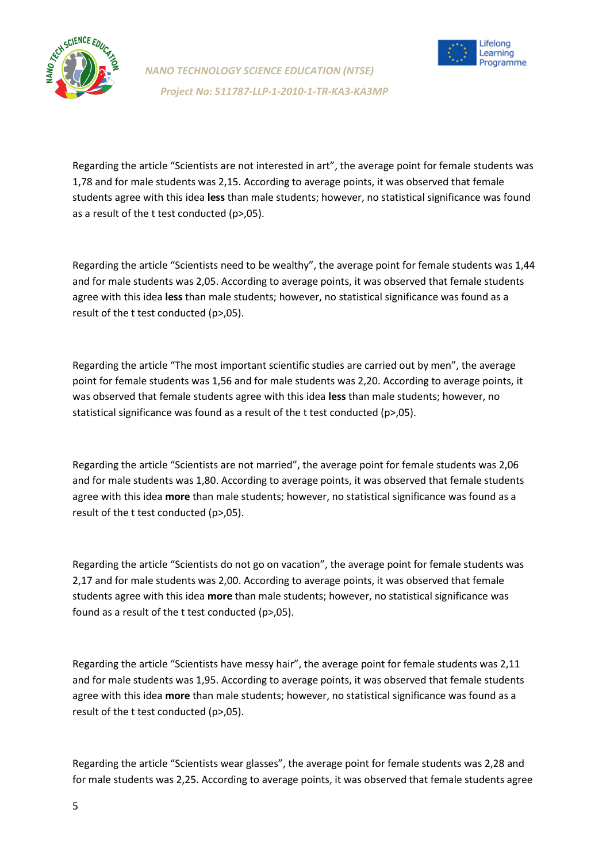



Regarding the article "Scientists are not interested in art", the average point for female students was 1,78 and for male students was 2,15. According to average points, it was observed that female students agree with this idea **less** than male students; however, no statistical significance was found as a result of the t test conducted (p>,05).

Regarding the article "Scientists need to be wealthy", the average point for female students was 1,44 and for male students was 2,05. According to average points, it was observed that female students agree with this idea **less** than male students; however, no statistical significance was found as a result of the t test conducted (p>,05).

Regarding the article "The most important scientific studies are carried out by men", the average point for female students was 1,56 and for male students was 2,20. According to average points, it was observed that female students agree with this idea **less** than male students; however, no statistical significance was found as a result of the t test conducted (p>,05).

Regarding the article "Scientists are not married", the average point for female students was 2,06 and for male students was 1,80. According to average points, it was observed that female students agree with this idea **more** than male students; however, no statistical significance was found as a result of the t test conducted (p>,05).

Regarding the article "Scientists do not go on vacation", the average point for female students was 2,17 and for male students was 2,00. According to average points, it was observed that female students agree with this idea **more** than male students; however, no statistical significance was found as a result of the t test conducted (p>,05).

Regarding the article "Scientists have messy hair", the average point for female students was 2,11 and for male students was 1,95. According to average points, it was observed that female students agree with this idea **more** than male students; however, no statistical significance was found as a result of the t test conducted (p>,05).

Regarding the article "Scientists wear glasses", the average point for female students was 2,28 and for male students was 2,25. According to average points, it was observed that female students agree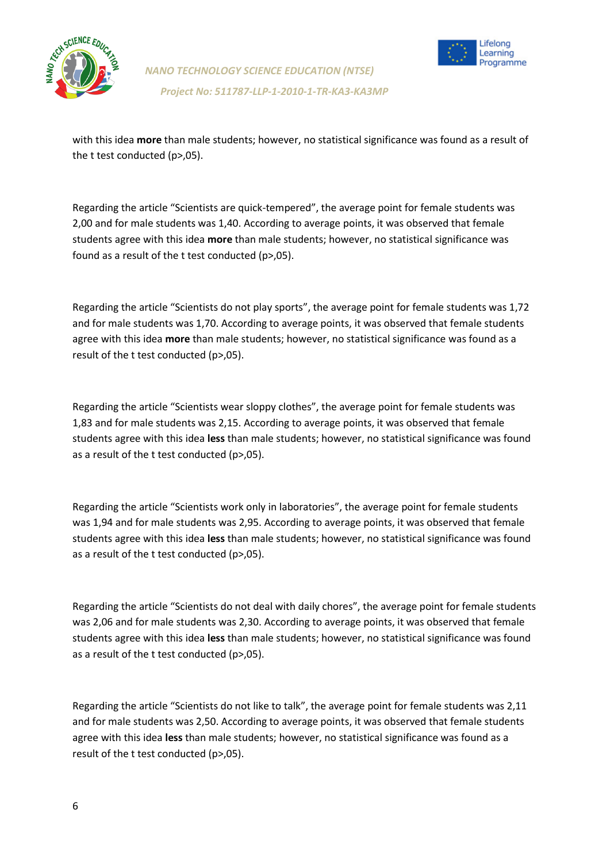



with this idea **more** than male students; however, no statistical significance was found as a result of the t test conducted (p>,05).

Regarding the article "Scientists are quick-tempered", the average point for female students was 2,00 and for male students was 1,40. According to average points, it was observed that female students agree with this idea **more** than male students; however, no statistical significance was found as a result of the t test conducted (p>,05).

Regarding the article "Scientists do not play sports", the average point for female students was 1,72 and for male students was 1,70. According to average points, it was observed that female students agree with this idea **more** than male students; however, no statistical significance was found as a result of the t test conducted (p>,05).

Regarding the article "Scientists wear sloppy clothes", the average point for female students was 1,83 and for male students was 2,15. According to average points, it was observed that female students agree with this idea **less** than male students; however, no statistical significance was found as a result of the t test conducted (p>,05).

Regarding the article "Scientists work only in laboratories", the average point for female students was 1,94 and for male students was 2,95. According to average points, it was observed that female students agree with this idea **less** than male students; however, no statistical significance was found as a result of the t test conducted (p>,05).

Regarding the article "Scientists do not deal with daily chores", the average point for female students was 2,06 and for male students was 2,30. According to average points, it was observed that female students agree with this idea **less** than male students; however, no statistical significance was found as a result of the t test conducted (p>,05).

Regarding the article "Scientists do not like to talk", the average point for female students was 2,11 and for male students was 2,50. According to average points, it was observed that female students agree with this idea **less** than male students; however, no statistical significance was found as a result of the t test conducted (p>,05).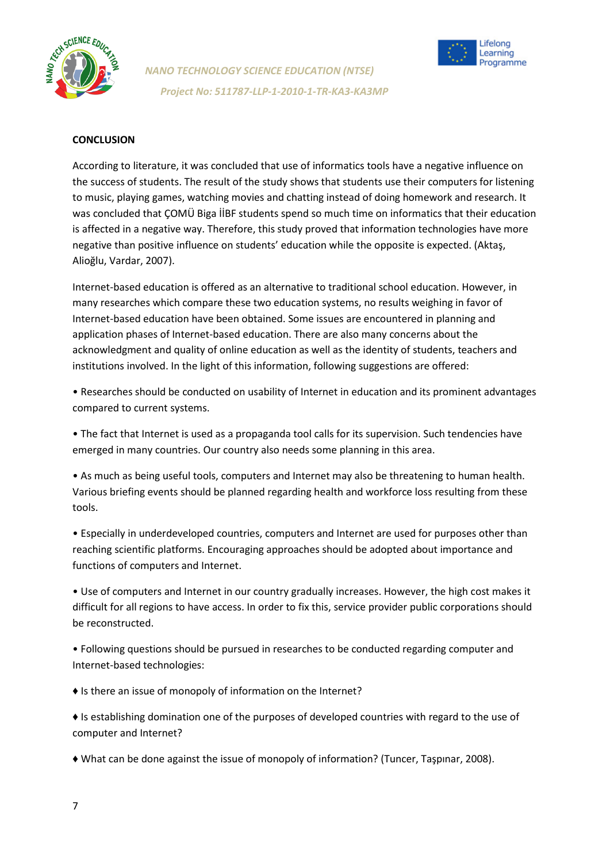



### **CONCLUSION**

According to literature, it was concluded that use of informatics tools have a negative influence on the success of students. The result of the study shows that students use their computers for listening to music, playing games, watching movies and chatting instead of doing homework and research. It was concluded that ÇOMÜ Biga İİBF students spend so much time on informatics that their education is affected in a negative way. Therefore, this study proved that information technologies have more negative than positive influence on students' education while the opposite is expected. (Aktaş, Alioğlu, Vardar, 2007).

Internet-based education is offered as an alternative to traditional school education. However, in many researches which compare these two education systems, no results weighing in favor of Internet-based education have been obtained. Some issues are encountered in planning and application phases of Internet-based education. There are also many concerns about the acknowledgment and quality of online education as well as the identity of students, teachers and institutions involved. In the light of this information, following suggestions are offered:

• Researches should be conducted on usability of Internet in education and its prominent advantages compared to current systems.

• The fact that Internet is used as a propaganda tool calls for its supervision. Such tendencies have emerged in many countries. Our country also needs some planning in this area.

• As much as being useful tools, computers and Internet may also be threatening to human health. Various briefing events should be planned regarding health and workforce loss resulting from these tools.

• Especially in underdeveloped countries, computers and Internet are used for purposes other than reaching scientific platforms. Encouraging approaches should be adopted about importance and functions of computers and Internet.

• Use of computers and Internet in our country gradually increases. However, the high cost makes it difficult for all regions to have access. In order to fix this, service provider public corporations should be reconstructed.

• Following questions should be pursued in researches to be conducted regarding computer and Internet-based technologies:

♦ Is there an issue of monopoly of information on the Internet?

♦ Is establishing domination one of the purposes of developed countries with regard to the use of computer and Internet?

♦ What can be done against the issue of monopoly of information? (Tuncer, Taşpınar, 2008).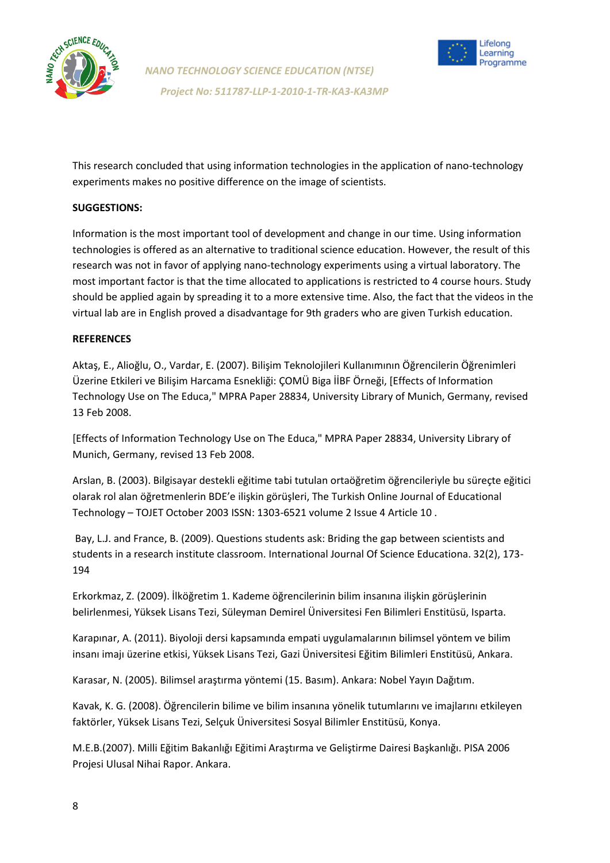



This research concluded that using information technologies in the application of nano-technology experiments makes no positive difference on the image of scientists.

## **SUGGESTIONS:**

Information is the most important tool of development and change in our time. Using information technologies is offered as an alternative to traditional science education. However, the result of this research was not in favor of applying nano-technology experiments using a virtual laboratory. The most important factor is that the time allocated to applications is restricted to 4 course hours. Study should be applied again by spreading it to a more extensive time. Also, the fact that the videos in the virtual lab are in English proved a disadvantage for 9th graders who are given Turkish education.

#### **REFERENCES**

Aktaş, E., Alioğlu, O., Vardar, E. (2007). Bilişim Teknolojileri Kullanımının Öğrencilerin Öğrenimleri Üzerine Etkileri ve Bilişim Harcama Esnekliği: ÇOMÜ Biga İİBF Örneği, [Effects of Information Technology Use on The Educa," MPRA Paper 28834, University Library of Munich, Germany, revised 13 Feb 2008.

[Effects of Information Technology Use on The Educa," MPRA Paper 28834, University Library of Munich, Germany, revised 13 Feb 2008.

Arslan, B. (2003). Bilgisayar destekli eğitime tabi tutulan ortaöğretim öğrencileriyle bu süreçte eğitici olarak rol alan öğretmenlerin BDE'e ilişkin görüşleri, The Turkish Online Journal of Educational Technology – TOJET October 2003 ISSN: 1303-6521 volume 2 Issue 4 Article 10 .

Bay, L.J. and France, B. (2009). Questions students ask: Briding the gap between scientists and students in a research institute classroom. International Journal Of Science Educationa. 32(2), 173- 194

Erkorkmaz, Z. (2009). İlköğretim 1. Kademe öğrencilerinin bilim insanına ilişkin görüşlerinin belirlenmesi, Yüksek Lisans Tezi, Süleyman Demirel Üniversitesi Fen Bilimleri Enstitüsü, Isparta.

Karapınar, A. (2011). Biyoloji dersi kapsamında empati uygulamalarının bilimsel yöntem ve bilim insanı imajı üzerine etkisi, Yüksek Lisans Tezi, Gazi Üniversitesi Eğitim Bilimleri Enstitüsü, Ankara.

Karasar, N. (2005). Bilimsel araştırma yöntemi (15. Basım). Ankara: Nobel Yayın Dağıtım.

Kavak, K. G. (2008). Öğrencilerin bilime ve bilim insanına yönelik tutumlarını ve imajlarını etkileyen faktörler, Yüksek Lisans Tezi, Selçuk Üniversitesi Sosyal Bilimler Enstitüsü, Konya.

M.E.B.(2007). Milli Eğitim Bakanlığı Eğitimi Araştırma ve Geliştirme Dairesi Başkanlığı. PISA 2006 Projesi Ulusal Nihai Rapor. Ankara.